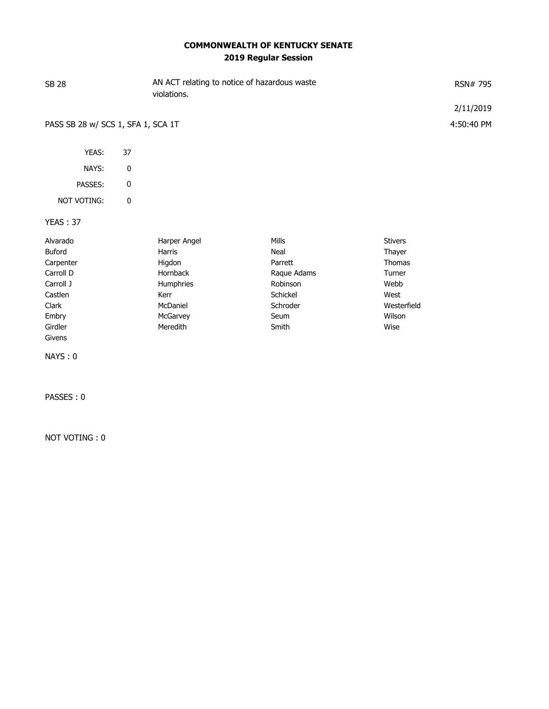## **COMMONWEALTH OF KENTUCKY SENATE 2019 Regular Session**

| <b>SB 28</b>                       |    | violations.  | AN ACT relating to notice of hazardous waste |                | RSN# 795   |
|------------------------------------|----|--------------|----------------------------------------------|----------------|------------|
|                                    |    |              |                                              |                | 2/11/2019  |
| PASS SB 28 w/ SCS 1, SFA 1, SCA 1T |    |              |                                              |                | 4:50:40 PM |
| YEAS:                              | 37 |              |                                              |                |            |
| NAYS:                              | 0  |              |                                              |                |            |
| PASSES:                            | 0  |              |                                              |                |            |
| <b>NOT VOTING:</b>                 | 0  |              |                                              |                |            |
| <b>YEAS: 37</b>                    |    |              |                                              |                |            |
| Alvarado                           |    | Harper Angel | Mills                                        | <b>Stivers</b> |            |
| <b>Buford</b>                      |    | Harris       | Neal                                         | Thayer         |            |
| Carpenter                          |    | Higdon       | Parrett                                      | <b>Thomas</b>  |            |
| Carroll D                          |    | Hornback     | Raque Adams                                  | Turner         |            |
| Carroll J                          |    | Humphries    | Robinson                                     | Webb           |            |

Castlen **Kerr Schickel West (Exchiption Metallon** Mest Schickel West West Clark McDaniel Schroder Westerfield Embry **Embry** McGarvey **Seum** Seum Seum Wilson Girdler Meredith Smith Wise

NOT VOTING : 0

Givens

NAYS : 0

PASSES : 0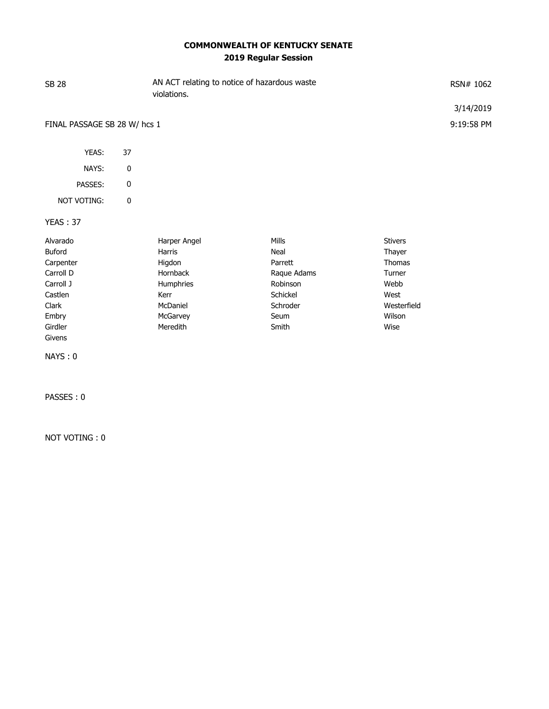## **COMMONWEALTH OF KENTUCKY SENATE 2019 Regular Session**

| <b>SB 28</b>                 |    | AN ACT relating to notice of hazardous waste<br>violations. | RSN# 1062   |                |            |
|------------------------------|----|-------------------------------------------------------------|-------------|----------------|------------|
|                              |    |                                                             |             |                | 3/14/2019  |
| FINAL PASSAGE SB 28 W/ hcs 1 |    |                                                             |             |                | 9:19:58 PM |
| YEAS:                        | 37 |                                                             |             |                |            |
| NAYS:                        | 0  |                                                             |             |                |            |
| PASSES:                      | 0  |                                                             |             |                |            |
| NOT VOTING:                  | 0  |                                                             |             |                |            |
| <b>YEAS: 37</b>              |    |                                                             |             |                |            |
| Alvarado                     |    | Harper Angel                                                | Mills       | <b>Stivers</b> |            |
| Buford                       |    | Harris                                                      | Neal        | Thayer         |            |
| Carpenter                    |    | Higdon                                                      | Parrett     | <b>Thomas</b>  |            |
| Carroll D                    |    | Hornback                                                    | Raque Adams | Turner         |            |
| Carroll J                    |    | Humphries                                                   | Robinson    | Webb           |            |
| Castlen                      |    | Kerr                                                        | Schickel    | West           |            |
| Clark                        |    | McDaniel                                                    | Schroder    | Westerfield    |            |
| Embry                        |    | McGarvey                                                    | Seum        | Wilson         |            |
| Girdler                      |    | Meredith                                                    | Smith       | Wise           |            |
| Givens                       |    |                                                             |             |                |            |

NAYS : 0

PASSES : 0

NOT VOTING : 0